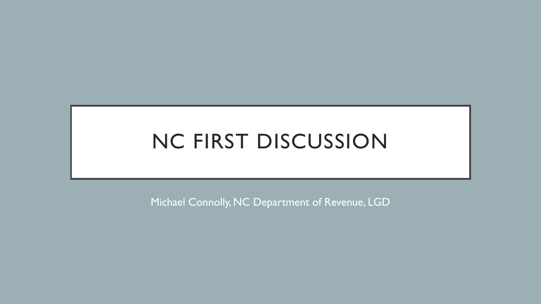# NC FIRST DISCUSSION

Michael Connolly, NC Department of Revenue, LGD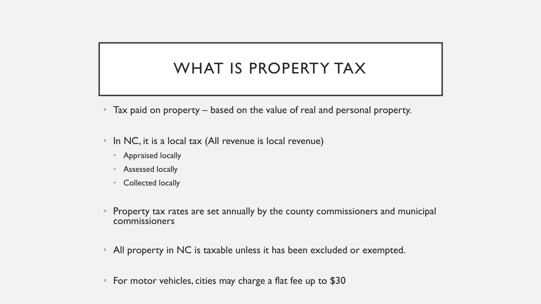# WHAT IS PROPERTY TAX

- Tax paid on property based on the value of real and personal property.
- In NC, it is a local tax (All revenue is local revenue)
	- Appraised locally
	- Assessed locally
	- Collected locally
- Property tax rates are set annually by the county commissioners and municipal commissioners
- All property in NC is taxable unless it has been excluded or exempted.
- For motor vehicles, cities may charge a flat fee up to \$30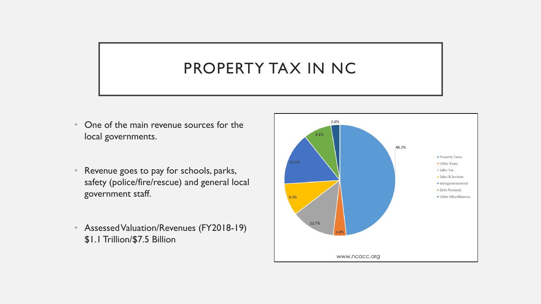### PROPERTY TAX IN NC

- One of the main revenue sources for the local governments.
- Revenue goes to pay for schools, parks, safety (police/fire/rescue) and general local government staff.
- Assessed Valuation/Revenues (FY2018-19) \$1.1 Trillion/\$7.5 Billion

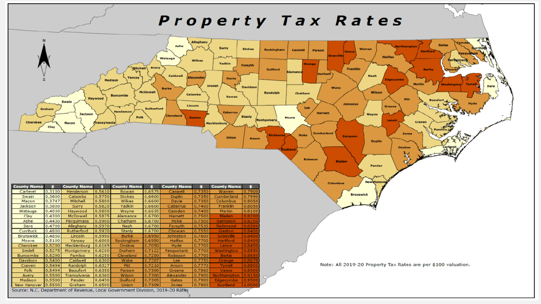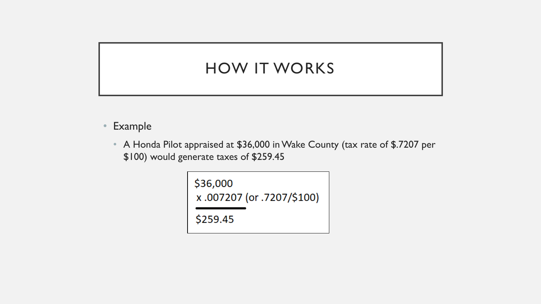### HOW IT WORKS

- Example
	- A Honda Pilot appraised at \$36,000 in Wake County (tax rate of \$.7207 per \$100) would generate taxes of \$259.45

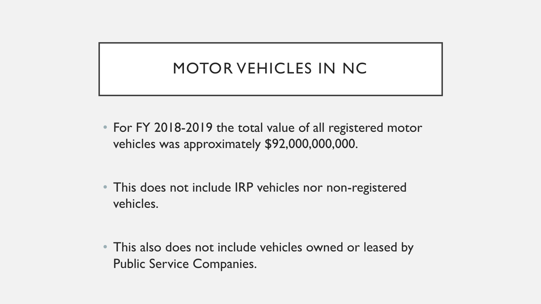# MOTOR VEHICLES IN NC

- For FY 2018-2019 the total value of all registered motor vehicles was approximately \$92,000,000,000.
- This does not include IRP vehicles nor non-registered vehicles.
- This also does not include vehicles owned or leased by Public Service Companies.